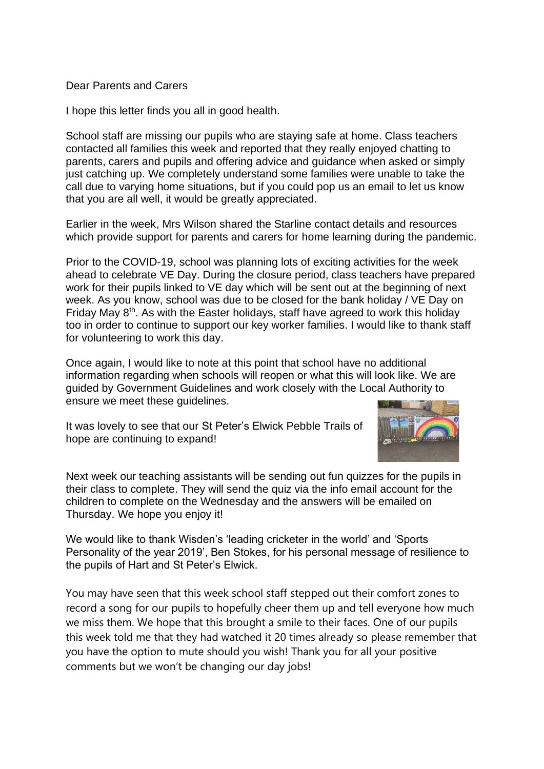## Dear Parents and Carers

I hope this letter finds you all in good health.

School staff are missing our pupils who are staying safe at home. Class teachers contacted all families this week and reported that they really enjoyed chatting to parents, carers and pupils and offering advice and guidance when asked or simply just catching up. We completely understand some families were unable to take the call due to varying home situations, but if you could pop us an email to let us know that you are all well, it would be greatly appreciated.

Earlier in the week, Mrs Wilson shared the Starline contact details and resources which provide support for parents and carers for home learning during the pandemic.

Prior to the COVID-19, school was planning lots of exciting activities for the week ahead to celebrate VE Day. During the closure period, class teachers have prepared work for their pupils linked to VE day which will be sent out at the beginning of next week. As you know, school was due to be closed for the bank holiday / VE Day on Friday May 8<sup>th</sup>. As with the Easter holidays, staff have agreed to work this holiday too in order to continue to support our key worker families. I would like to thank staff for volunteering to work this day.

Once again, I would like to note at this point that school have no additional information regarding when schools will reopen or what this will look like. We are guided by Government Guidelines and work closely with the Local Authority to ensure we meet these guidelines.

It was lovely to see that our St Peter's Elwick Pebble Trails of hope are continuing to expand!



Next week our teaching assistants will be sending out fun quizzes for the pupils in their class to complete. They will send the quiz via the info email account for the children to complete on the Wednesday and the answers will be emailed on Thursday. We hope you enjoy it!

We would like to thank Wisden's 'leading cricketer in the world' and 'Sports Personality of the year 2019', Ben Stokes, for his personal message of resilience to the pupils of Hart and St Peter's Elwick.

You may have seen that this week school staff stepped out their comfort zones to record a song for our pupils to hopefully cheer them up and tell everyone how much we miss them. We hope that this brought a smile to their faces. One of our pupils this week told me that they had watched it 20 times already so please remember that you have the option to mute should you wish! Thank you for all your positive comments but we won't be changing our day jobs!